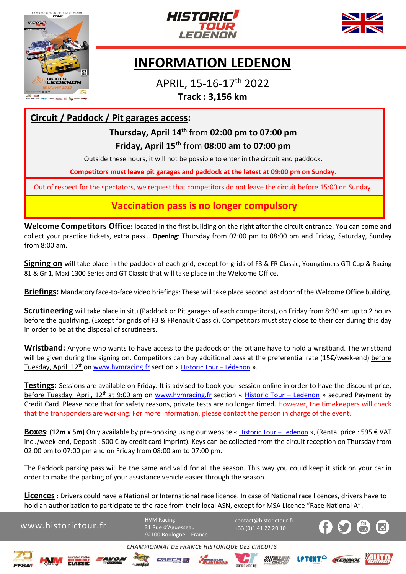





# **INFORMATION LEDENON**

APRIL, 15-16-17th 2022 **Track : 3,156 km**

#### **Circuit / Paddock / Pit garages access:**

## **Thursday, April 14th** from **02:00 pm to 07:00 pm Friday, April 15th** from **08:00 am to 07:00 pm**

Outside these hours, it will not be possible to enter in the circuit and paddock.

**Competitors must leave pit garages and paddock at the latest at 09:00 pm on Sunday.**

Out of respect for the spectators, we request that competitors do not leave the circuit before 15:00 on Sunday.

#### **Vaccination pass is no longer compulsory**

**Welcome Competitors Office:** located in the first building on the right after the circuit entrance. You can come and collect your practice tickets, extra pass… **Opening**: Thursday from 02:00 pm to 08:00 pm and Friday, Saturday, Sunday from 8:00 am.

**Signing on** will take place in the paddock of each grid, except for grids of F3 & FR Classic, Youngtimers GTI Cup & Racing 81 & Gr 1, Maxi 1300 Series and GT Classic that will take place in the Welcome Office.

**Briefings:** Mandatory face-to-face video briefings: These will take place second last door of the Welcome Office building.

**Scrutineering** will take place in situ (Paddock or Pit garages of each competitors), on Friday from 8:30 am up to 2 hours before the qualifying. (Except for grids of F3 & FRenault Classic). Competitors must stay close to their car during this day in order to be at the disposal of scrutineers.

**Wristband:** Anyone who wants to have access to the paddock or the pitlane have to hold a wristband. The wristband will be given during the signing on. Competitors can buy additional pass at the preferential rate (15€/week-end) before Tuesday, April, 12<sup>th</sup> o[n www.hvmracing.fr](http://www.hvmracing.fr/) section « [Historic Tour](https://www.hvmracing.fr/evenements/historic-tour/ledenon/) – Lédenon ».

**Testings:** Sessions are available on Friday. It is advised to book your session online in order to have the discount price, before Tuesday, April, 12<sup>th</sup> at 9:00 am on [www.hvmracing.fr](http://www.hvmracing.fr/) section « [Historic Tour](https://www.hvmracing.fr/evenements/historic-tour/ledenon/) – Ledenon » secured Payment by Credit Card. Please note that for safety reasons, private tests are no longer timed. However, the timekeepers will check that the transponders are working. For more information, please contact the person in charge of the event.

**Boxes: (12m x 5m)** Only available by pre-booking using our website [« Historic Tour](https://www.hvmracing.fr/evenements/historic-tour/ledenon/) – Ledenon », (Rental price : 595 € VAT inc ./week-end, Deposit : 500 € by credit card imprint). Keys can be collected from the circuit reception on Thursday from 02:00 pm to 07:00 pm and on Friday from 08:00 am to 07:00 pm.

The Paddock parking pass will be the same and valid for all the season. This way you could keep it stick on your car in order to make the parking of your assistance vehicle easier through the season.

**Licences :** Drivers could have a National or International race licence. In case of National race licences, drivers have to hold an authorization to participate to the race from their local ASN, except for MSA Licence "Race National A".